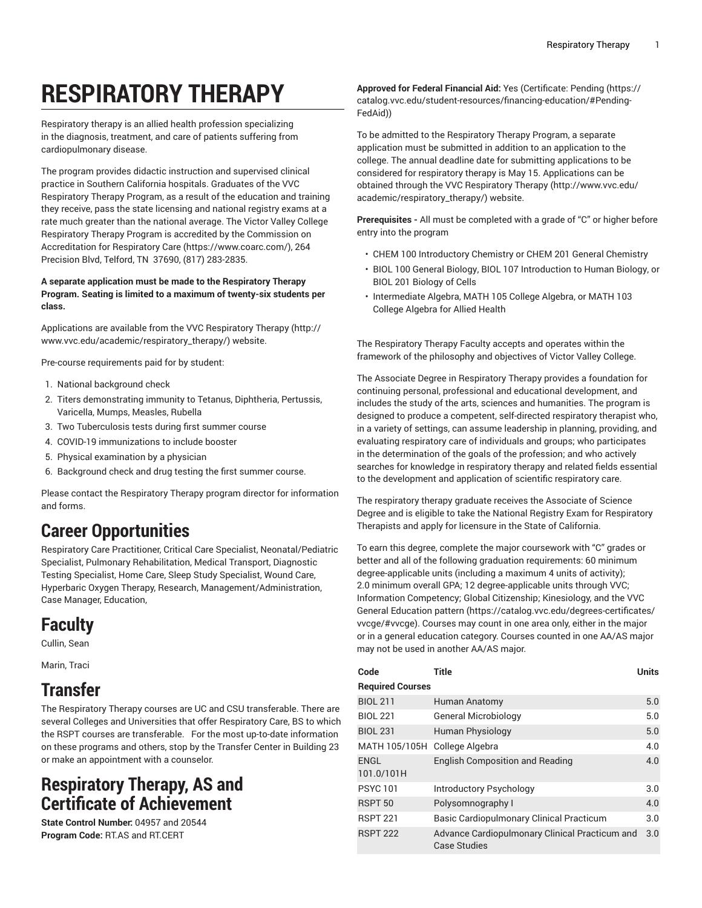# **RESPIRATORY THERAPY**

Respiratory therapy is an allied health profession specializing in the diagnosis, treatment, and care of patients suffering from cardiopulmonary disease.

The program provides didactic instruction and supervised clinical practice in Southern California hospitals. Graduates of the VVC Respiratory Therapy Program, as a result of the education and training they receive, pass the state licensing and national registry exams at a rate much greater than the national average. The Victor Valley College Respiratory Therapy Program is accredited by the [Commission on](https://www.coarc.com/) [Accreditation](https://www.coarc.com/) for Respiratory Care (<https://www.coarc.com/>), 264 Precision Blvd, Telford, TN 37690, (817) 283-2835.

**A separate application must be made to the Respiratory Therapy Program. Seating is limited to a maximum of twenty-six students per class.**

Applications are available from the VVC [Respiratory](http://www.vvc.edu/academic/respiratory_therapy/) Therapy ([http://](http://www.vvc.edu/academic/respiratory_therapy/) [www.vvc.edu/academic/respiratory\\_therapy/](http://www.vvc.edu/academic/respiratory_therapy/)) website.

Pre-course requirements paid for by student:

- 1. National background check
- 2. Titers demonstrating immunity to Tetanus, Diphtheria, Pertussis, Varicella, Mumps, Measles, Rubella
- 3. Two Tuberculosis tests during first summer course
- 4. COVID-19 immunizations to include booster
- 5. Physical examination by a physician
- 6. Background check and drug testing the first summer course.

Please contact the Respiratory Therapy program director for information and forms.

# **Career Opportunities**

Respiratory Care Practitioner, Critical Care Specialist, Neonatal/Pediatric Specialist, Pulmonary Rehabilitation, Medical Transport, Diagnostic Testing Specialist, Home Care, Sleep Study Specialist, Wound Care, Hyperbaric Oxygen Therapy, Research, Management/Administration, Case Manager, Education,

# **Faculty**

Cullin, Sean

Marin, Traci

# **Transfer**

The Respiratory Therapy courses are UC and CSU transferable. There are several Colleges and Universities that offer Respiratory Care, BS to which the RSPT courses are transferable. For the most up-to-date information on these programs and others, stop by the Transfer Center in Building 23 or make an appointment with a counselor.

### **Respiratory Therapy, AS and Certificate of Achievement**

**State Control Number:** 04957 and 20544 **Program Code:** RT.AS and RT.CERT

**Approved for Federal Financial Aid:** Yes (Certificate: [Pending](https://catalog.vvc.edu/student-resources/financing-education/#Pending-FedAid) ([https://](https://catalog.vvc.edu/student-resources/financing-education/#Pending-FedAid) [catalog.vvc.edu/student-resources/financing-education/#Pending-](https://catalog.vvc.edu/student-resources/financing-education/#Pending-FedAid)[FedAid](https://catalog.vvc.edu/student-resources/financing-education/#Pending-FedAid)))

To be admitted to the Respiratory Therapy Program, a separate application must be submitted in addition to an application to the college. The annual deadline date for submitting applications to be considered for respiratory therapy is May 15. Applications can be obtained through the VVC [Respiratory](http://www.vvc.edu/academic/respiratory_therapy/) Therapy ([http://www.vvc.edu/](http://www.vvc.edu/academic/respiratory_therapy/) [academic/respiratory\\_therapy/\)](http://www.vvc.edu/academic/respiratory_therapy/) website.

**Prerequisites -** All must be completed with a grade of "C" or higher before entry into the program

- CHEM 100 Introductory Chemistry or CHEM 201 General Chemistry
- BIOL 100 General Biology, BIOL 107 Introduction to Human Biology, or BIOL 201 Biology of Cells
- Intermediate Algebra, MATH 105 College Algebra, or MATH 103 College Algebra for Allied Health

The Respiratory Therapy Faculty accepts and operates within the framework of the philosophy and objectives of Victor Valley College.

The Associate Degree in Respiratory Therapy provides a foundation for continuing personal, professional and educational development, and includes the study of the arts, sciences and humanities. The program is designed to produce a competent, self-directed respiratory therapist who, in a variety of settings, can assume leadership in planning, providing, and evaluating respiratory care of individuals and groups; who participates in the determination of the goals of the profession; and who actively searches for knowledge in respiratory therapy and related fields essential to the development and application of scientific respiratory care.

The respiratory therapy graduate receives the Associate of Science Degree and is eligible to take the National Registry Exam for Respiratory Therapists and apply for licensure in the State of California.

To earn this degree, complete the major coursework with "C" grades or better and all of the following graduation requirements: 60 minimum degree-applicable units (including a maximum 4 units of activity); 2.0 minimum overall GPA; 12 degree-applicable units through VVC; Information Competency; Global Citizenship; Kinesiology, and the [VVC](https://catalog.vvc.edu/degrees-certificates/vvcge/#vvcge) General [Education](https://catalog.vvc.edu/degrees-certificates/vvcge/#vvcge) pattern ([https://catalog.vvc.edu/degrees-certificates/](https://catalog.vvc.edu/degrees-certificates/vvcge/#vvcge) [vvcge/#vvcge\)](https://catalog.vvc.edu/degrees-certificates/vvcge/#vvcge). Courses may count in one area only, either in the major or in a general education category. Courses counted in one AA/AS major may not be used in another AA/AS major.

| Code                      | <b>Title</b>                                                          | <b>Units</b> |
|---------------------------|-----------------------------------------------------------------------|--------------|
| <b>Required Courses</b>   |                                                                       |              |
| <b>BIOL 211</b>           | Human Anatomy                                                         | 5.0          |
| <b>BIOL 221</b>           | <b>General Microbiology</b>                                           | 5.0          |
| <b>BIOL 231</b>           | <b>Human Physiology</b>                                               | 5.0          |
| MATH 105/105H             | College Algebra                                                       | 4.0          |
| <b>ENGL</b><br>101.0/101H | <b>English Composition and Reading</b>                                | 4.0          |
| <b>PSYC101</b>            | Introductory Psychology                                               | 3.0          |
| RSPT <sub>50</sub>        | Polysomnography I                                                     | 4.0          |
| <b>RSPT 221</b>           | Basic Cardiopulmonary Clinical Practicum                              | 3.0          |
| <b>RSPT 222</b>           | Advance Cardiopulmonary Clinical Practicum and<br><b>Case Studies</b> | 3.0          |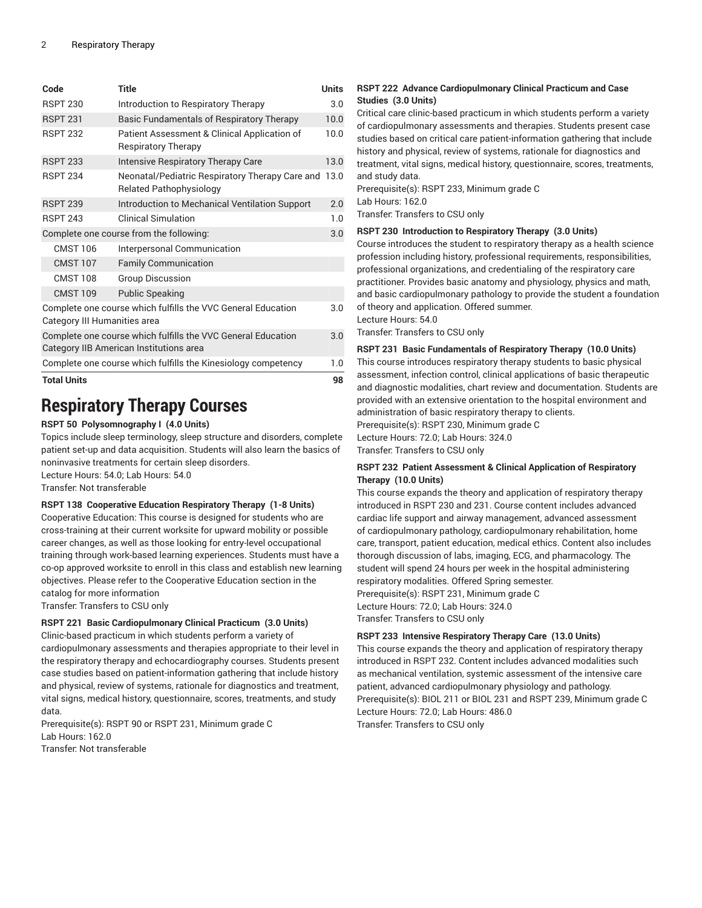| Code                                                                                                    | Title                                                                             | <b>Units</b> |
|---------------------------------------------------------------------------------------------------------|-----------------------------------------------------------------------------------|--------------|
| <b>RSPT 230</b>                                                                                         | Introduction to Respiratory Therapy                                               | 3.0          |
| <b>RSPT 231</b>                                                                                         | Basic Fundamentals of Respiratory Therapy                                         | 10.0         |
| <b>RSPT 232</b>                                                                                         | Patient Assessment & Clinical Application of<br>Respiratory Therapy               | 10.0         |
| <b>RSPT 233</b>                                                                                         | <b>Intensive Respiratory Therapy Care</b>                                         | 13.0         |
| <b>RSPT 234</b>                                                                                         | Neonatal/Pediatric Respiratory Therapy Care and<br><b>Related Pathophysiology</b> | 13.0         |
| <b>RSPT 239</b>                                                                                         | Introduction to Mechanical Ventilation Support                                    | 2.0          |
| <b>RSPT 243</b>                                                                                         | <b>Clinical Simulation</b>                                                        | 1.0          |
| Complete one course from the following:                                                                 |                                                                                   | 3.0          |
| <b>CMST 106</b>                                                                                         | Interpersonal Communication                                                       |              |
| <b>CMST 107</b>                                                                                         | <b>Family Communication</b>                                                       |              |
| <b>CMST 108</b>                                                                                         | <b>Group Discussion</b>                                                           |              |
| <b>CMST 109</b>                                                                                         | <b>Public Speaking</b>                                                            |              |
| Complete one course which fulfills the VVC General Education<br>Category III Humanities area            |                                                                                   |              |
| Complete one course which fulfills the VVC General Education<br>Category IIB American Institutions area |                                                                                   |              |
| Complete one course which fulfills the Kinesiology competency                                           |                                                                                   |              |
| <b>Total Units</b>                                                                                      |                                                                                   |              |

# **Respiratory Therapy Courses**

#### **RSPT 50 Polysomnography I (4.0 Units)**

Topics include sleep terminology, sleep structure and disorders, complete patient set-up and data acquisition. Students will also learn the basics of noninvasive treatments for certain sleep disorders. Lecture Hours: 54.0; Lab Hours: 54.0

Transfer: Not transferable

#### **RSPT 138 Cooperative Education Respiratory Therapy (1-8 Units)**

Cooperative Education: This course is designed for students who are cross-training at their current worksite for upward mobility or possible career changes, as well as those looking for entry-level occupational training through work-based learning experiences. Students must have a co-op approved worksite to enroll in this class and establish new learning objectives. Please refer to the Cooperative Education section in the catalog for more information

Transfer: Transfers to CSU only

#### **RSPT 221 Basic Cardiopulmonary Clinical Practicum (3.0 Units)**

Clinic-based practicum in which students perform a variety of cardiopulmonary assessments and therapies appropriate to their level in the respiratory therapy and echocardiography courses. Students present case studies based on patient-information gathering that include history and physical, review of systems, rationale for diagnostics and treatment, vital signs, medical history, questionnaire, scores, treatments, and study data.

Prerequisite(s): RSPT 90 or RSPT 231, Minimum grade C Lab Hours: 162.0 Transfer: Not transferable

#### **RSPT 222 Advance Cardiopulmonary Clinical Practicum and Case Studies (3.0 Units)**

Critical care clinic-based practicum in which students perform a variety of cardiopulmonary assessments and therapies. Students present case studies based on critical care patient-information gathering that include history and physical, review of systems, rationale for diagnostics and treatment, vital signs, medical history, questionnaire, scores, treatments, and study data.

Prerequisite(s): RSPT 233, Minimum grade C Lab Hours: 162.0

Transfer: Transfers to CSU only

#### **RSPT 230 Introduction to Respiratory Therapy (3.0 Units)**

Course introduces the student to respiratory therapy as a health science profession including history, professional requirements, responsibilities, professional organizations, and credentialing of the respiratory care practitioner. Provides basic anatomy and physiology, physics and math, and basic cardiopulmonary pathology to provide the student a foundation of theory and application. Offered summer. Lecture Hours: 54.0

Transfer: Transfers to CSU only

#### **RSPT 231 Basic Fundamentals of Respiratory Therapy (10.0 Units)**

This course introduces respiratory therapy students to basic physical assessment, infection control, clinical applications of basic therapeutic and diagnostic modalities, chart review and documentation. Students are provided with an extensive orientation to the hospital environment and administration of basic respiratory therapy to clients. Prerequisite(s): RSPT 230, Minimum grade C

Lecture Hours: 72.0; Lab Hours: 324.0

Transfer: Transfers to CSU only

#### **RSPT 232 Patient Assessment & Clinical Application of Respiratory Therapy (10.0 Units)**

This course expands the theory and application of respiratory therapy introduced in RSPT 230 and 231. Course content includes advanced cardiac life support and airway management, advanced assessment of cardiopulmonary pathology, cardiopulmonary rehabilitation, home care, transport, patient education, medical ethics. Content also includes thorough discussion of labs, imaging, ECG, and pharmacology. The student will spend 24 hours per week in the hospital administering respiratory modalities. Offered Spring semester. Prerequisite(s): RSPT 231, Minimum grade C Lecture Hours: 72.0; Lab Hours: 324.0 Transfer: Transfers to CSU only

#### **RSPT 233 Intensive Respiratory Therapy Care (13.0 Units)**

This course expands the theory and application of respiratory therapy introduced in RSPT 232. Content includes advanced modalities such as mechanical ventilation, systemic assessment of the intensive care patient, advanced cardiopulmonary physiology and pathology. Prerequisite(s): BIOL 211 or BIOL 231 and RSPT 239, Minimum grade C Lecture Hours: 72.0; Lab Hours: 486.0 Transfer: Transfers to CSU only